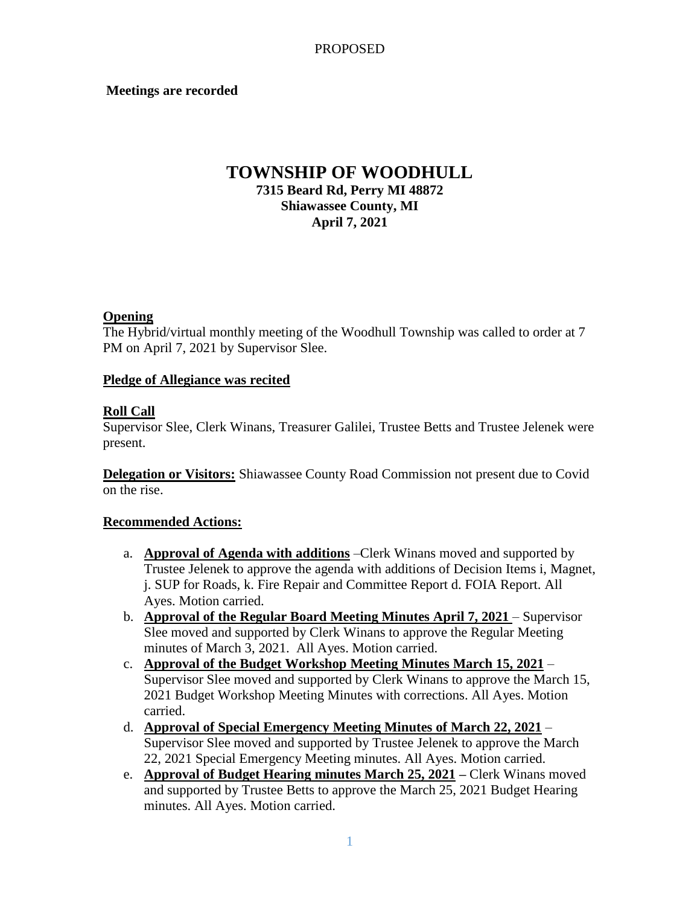### **Meetings are recorded**

# **TOWNSHIP OF WOODHULL 7315 Beard Rd, Perry MI 48872 Shiawassee County, MI April 7, 2021**

### **Opening**

The Hybrid/virtual monthly meeting of the Woodhull Township was called to order at 7 PM on April 7, 2021 by Supervisor Slee.

### **Pledge of Allegiance was recited**

### **Roll Call**

Supervisor Slee, Clerk Winans, Treasurer Galilei, Trustee Betts and Trustee Jelenek were present.

**Delegation or Visitors:** Shiawassee County Road Commission not present due to Covid on the rise.

### **Recommended Actions:**

- a. **Approval of Agenda with additions** –Clerk Winans moved and supported by Trustee Jelenek to approve the agenda with additions of Decision Items i, Magnet, j. SUP for Roads, k. Fire Repair and Committee Report d. FOIA Report. All Ayes. Motion carried.
- b. **Approval of the Regular Board Meeting Minutes April 7, 2021** Supervisor Slee moved and supported by Clerk Winans to approve the Regular Meeting minutes of March 3, 2021. All Ayes. Motion carried.
- c. **Approval of the Budget Workshop Meeting Minutes March 15, 2021** Supervisor Slee moved and supported by Clerk Winans to approve the March 15, 2021 Budget Workshop Meeting Minutes with corrections. All Ayes. Motion carried.
- d. **Approval of Special Emergency Meeting Minutes of March 22, 2021** Supervisor Slee moved and supported by Trustee Jelenek to approve the March 22, 2021 Special Emergency Meeting minutes. All Ayes. Motion carried.
- e. **Approval of Budget Hearing minutes March 25, 2021 –** Clerk Winans moved and supported by Trustee Betts to approve the March 25, 2021 Budget Hearing minutes. All Ayes. Motion carried.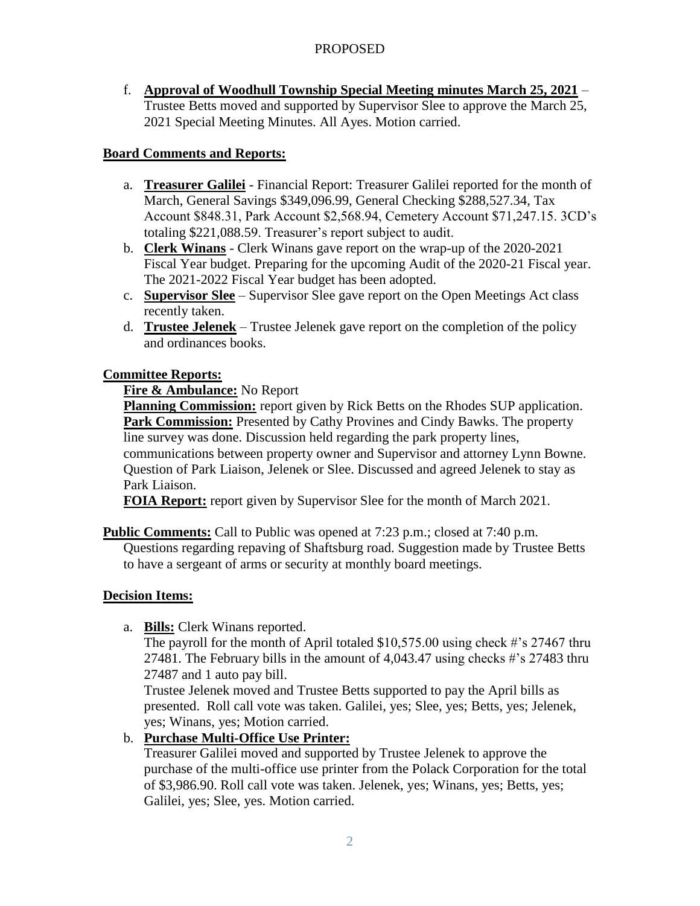## PROPOSED

f. **Approval of Woodhull Township Special Meeting minutes March 25, 2021** – Trustee Betts moved and supported by Supervisor Slee to approve the March 25, 2021 Special Meeting Minutes. All Ayes. Motion carried.

## **Board Comments and Reports:**

- a. **Treasurer Galilei** Financial Report: Treasurer Galilei reported for the month of March, General Savings \$349,096.99, General Checking \$288,527.34, Tax Account \$848.31, Park Account \$2,568.94, Cemetery Account \$71,247.15. 3CD's totaling \$221,088.59. Treasurer's report subject to audit.
- b. **Clerk Winans** Clerk Winans gave report on the wrap-up of the 2020-2021 Fiscal Year budget. Preparing for the upcoming Audit of the 2020-21 Fiscal year. The 2021-2022 Fiscal Year budget has been adopted.
- c. **Supervisor Slee** Supervisor Slee gave report on the Open Meetings Act class recently taken.
- d. **Trustee Jelenek** Trustee Jelenek gave report on the completion of the policy and ordinances books.

## **Committee Reports:**

## **Fire & Ambulance:** No Report

**Planning Commission:** report given by Rick Betts on the Rhodes SUP application. Park Commission: Presented by Cathy Provines and Cindy Bawks. The property line survey was done. Discussion held regarding the park property lines,

communications between property owner and Supervisor and attorney Lynn Bowne. Question of Park Liaison, Jelenek or Slee. Discussed and agreed Jelenek to stay as Park Liaison.

**FOIA Report:** report given by Supervisor Slee for the month of March 2021.

## **Public Comments:** Call to Public was opened at 7:23 p.m.; closed at 7:40 p.m.

 Questions regarding repaving of Shaftsburg road. Suggestion made by Trustee Betts to have a sergeant of arms or security at monthly board meetings.

## **Decision Items:**

a. **Bills:** Clerk Winans reported.

The payroll for the month of April totaled \$10,575.00 using check #'s 27467 thru 27481. The February bills in the amount of 4,043.47 using checks #'s 27483 thru 27487 and 1 auto pay bill.

Trustee Jelenek moved and Trustee Betts supported to pay the April bills as presented. Roll call vote was taken. Galilei, yes; Slee, yes; Betts, yes; Jelenek, yes; Winans, yes; Motion carried.

## b. **Purchase Multi-Office Use Printer:**

Treasurer Galilei moved and supported by Trustee Jelenek to approve the purchase of the multi-office use printer from the Polack Corporation for the total of \$3,986.90. Roll call vote was taken. Jelenek, yes; Winans, yes; Betts, yes; Galilei, yes; Slee, yes. Motion carried.